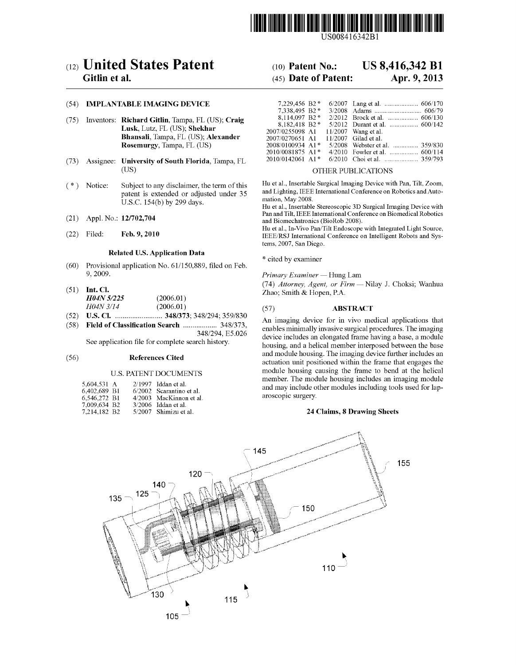

US008416342Bl

# c12) **United States Patent**

## **Gitlin et al.**

#### (54) **IMPLANTABLE IMAGING DEVICE**

- (75) Inventors: **Richard Gitlin,** Tampa, FL (US); **Craig Lusk,** Lutz, FL (US); **Shekhar Bhansali,** Tampa, FL (US); **Alexander Rosemurgy,** Tampa, FL (US)
- (73) Assignee: **University of South Florida,** Tampa, FL (US)
- ( \*) Notice: Subject to any disclaimer, the term of this patent is extended or adjusted under 35 U.S.C. 154(b) by 299 days.
- (21) Appl. No.: **12/702,704**
- (22) Filed: **Feb.9,2010**

#### **Related U.S. Application Data**

- (60) Provisional application No. 61/150,889, filed on Feb. 9, 2009.
- (51) **Int. Cl.**  *H04N 51225* (2006.01) *H04N 3/14* (2006.01)
- (52) **U.S. Cl.** ......................... **348/373;** 348/294; 359/830
- (58) **Field of Classification Search** .................. 348/373, 348/294, E5.026

See application file for complete search history.

#### (56) **References Cited**

#### U.S. PATENT DOCUMENTS

| 5.604.531 A  |  | $2/1997$ Iddan et al.    |
|--------------|--|--------------------------|
| 6.402.689 B1 |  | 6/2002 Scarantino et al. |
| 6.546.272 B1 |  | 4/2003 MacKinnon et al.  |
| 7,009,634 B2 |  | $3/2006$ Iddan et al.    |
| 7,214,182 B2 |  | 5/2007 Shimizu et al.    |

## (10) **Patent No.: US 8,416,342 Bl**

## (45) **Date of Patent: Apr. 9, 2013**

| 7,229,456 B2 *                 |  |                                |
|--------------------------------|--|--------------------------------|
| 7.338.495 B2*                  |  |                                |
| 8.114.097 B2*                  |  |                                |
| 8,182,418 B2*                  |  |                                |
| 2007/0255098 A1                |  | $11/2007$ Wang et al.          |
| 2007/0270651 A1                |  | $11/2007$ Gilad et al.         |
| 2008/0100934 A1*               |  | 5/2008 Webster et al.  359/830 |
| 2010/0081875 A1*               |  |                                |
| $2010/0142061$ A1 <sup>*</sup> |  |                                |

#### OTHER PUBLICATIONS

Hu et al., Insertable Surgical Imaging Device with Pan, Tilt, Zoom, and Lighting, IEEE International Conference on Robotics and Automation, May 2008.

Hu et al., Insertable Stereoscopic 3D Surgical Imaging Device with Pan and Tilt, IEEE International Conference on Biomedical Robotics and Biomechatronics (BioRob 2008).

Hu et al., In-Vivo Pan/Tilt Endoscope with Integrated Light Source, IEEE/RSJ International Conference on Intelligent Robots and Systems, 2007, San Diego.

\* cited by examiner

*Primary* Examiner~ Hung Lam

(74) *Attorney, Agent, or* Firm~ Nilay J. Choksi; Wanhua Zhao; Smith & Hopen, P.A.

#### (57) **ABSTRACT**

An imaging device for in vivo medical applications that enables minimally invasive surgical procedures. The imaging device includes an elongated frame having a base, a module housing, and a helical member interposed between the base and module housing. The imaging device further includes an actuation unit positioned within the frame that engages the module housing causing the frame to bend at the helical member. The module housing includes an imaging module and may include other modules including tools used for laparoscopic surgery.

#### **24 Claims, 8 Drawing Sheets**

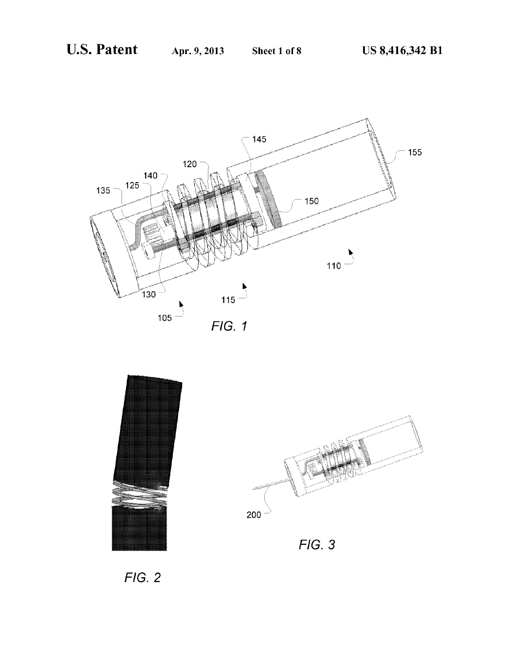



FIG. 2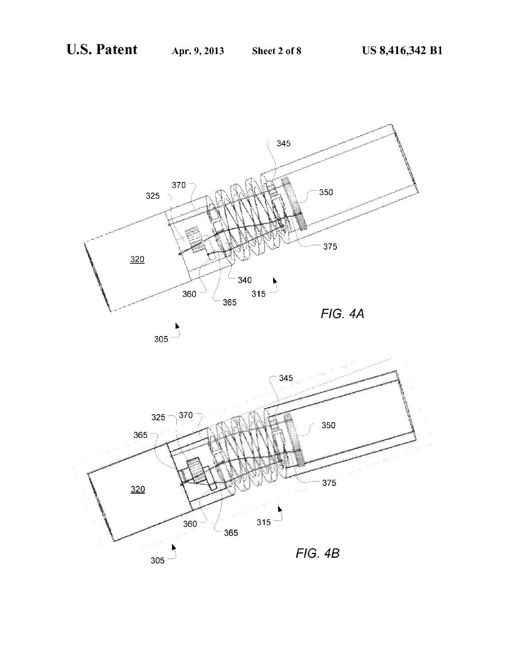

 $305 -$ 

FIG. 48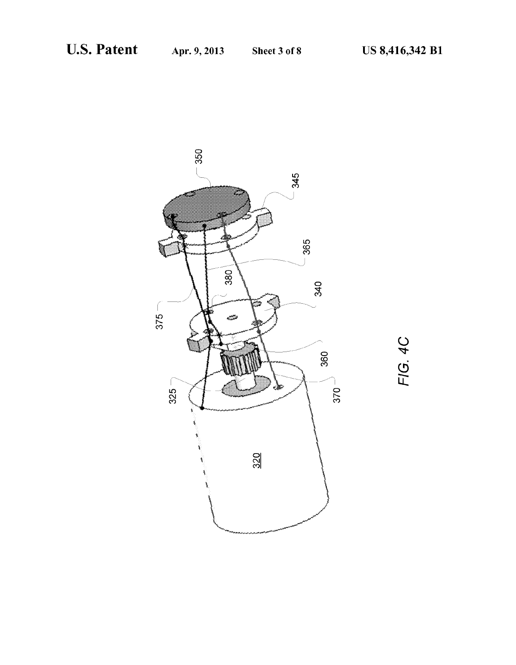

 $\tilde{\mathsf{C}}$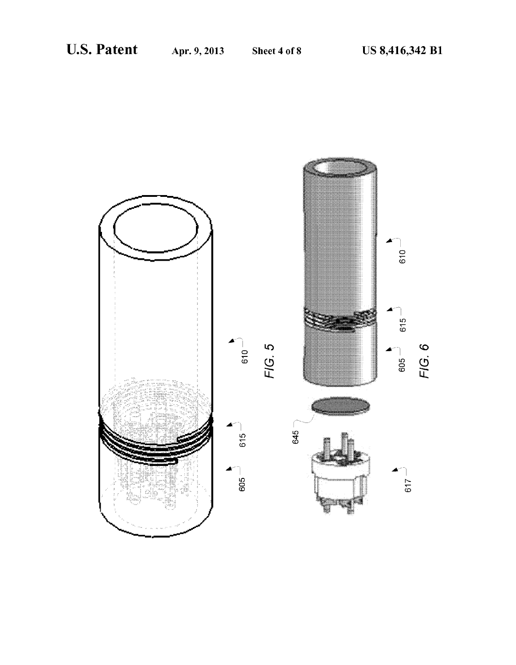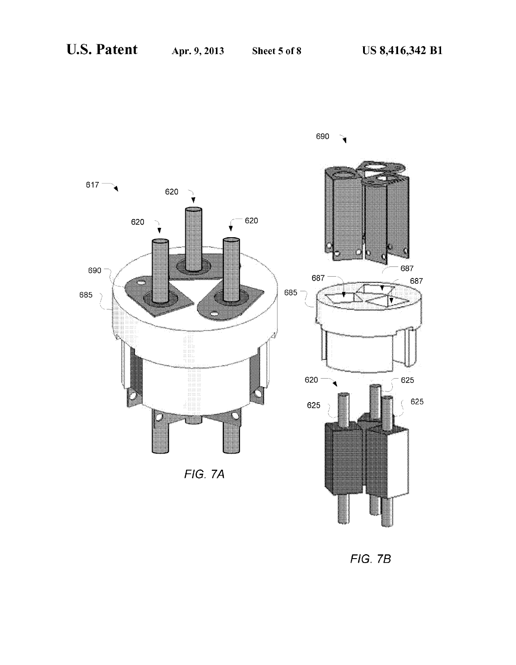

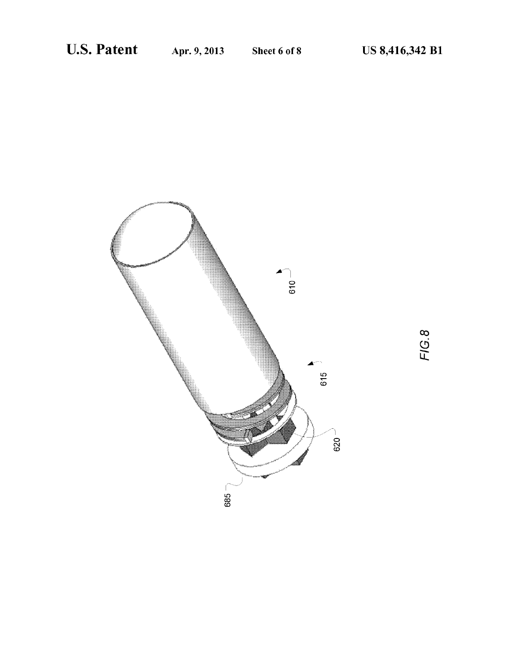

FIG.8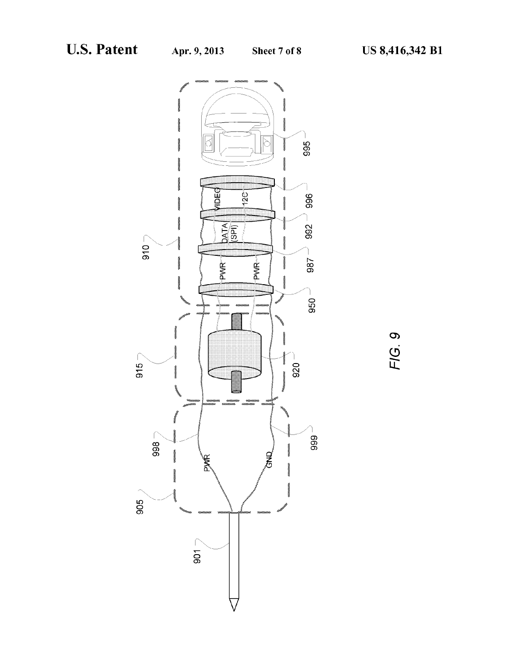

 $\mathcal{O}$  $\mathcal{O}$ FIG.  $\overline{r}$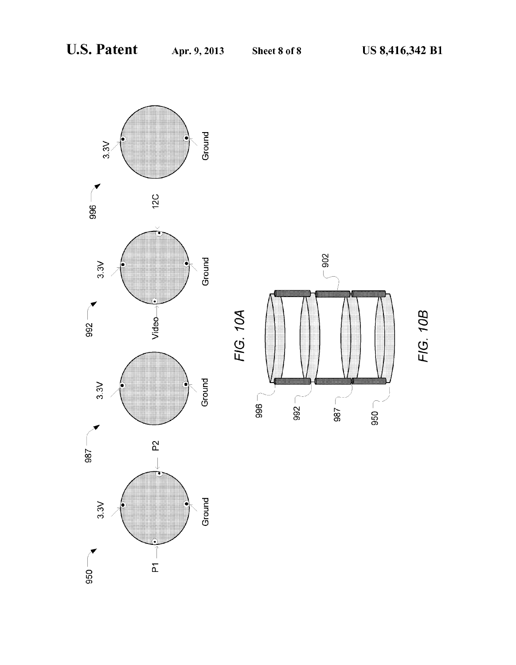FIG. 10B

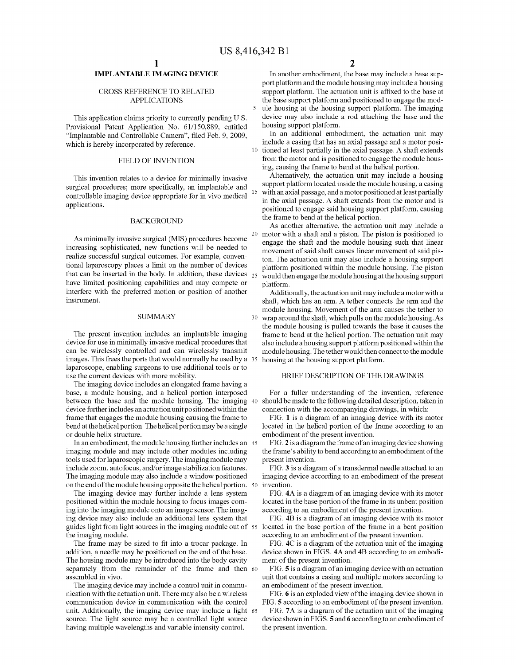### **IMPLANTABLE IMAGING DEVICE**

#### CROSS REFERENCE TO RELATED APPLICATIONS

This application claims priority to currently pending U.S. Provisional Patent Application No. 61/150,889, entitled housing support platform. "Implantable and Controllable Camera", filed Feb. 9, 2009, which is hereby incorporated by reference.

#### FIELD OF INVENTION

This invention relates to a device for minimally invasive surgical procedures; more specifically, an implantable and controllable imaging device appropriate for in vivo medical applications.

#### BACKGROUND

As minimally invasive surgical (MIS) procedures become increasing sophisticated, new functions will be needed to realize successful surgical outcomes. For example, conventional laparoscopy places a limit on the number of devices that can be inserted in the body. In addition, these devices  $_{25}$ have limited positioning capabilities and may compete or interfere with the preferred motion or position of another instrument.

#### SUMMARY

The present invention includes an implantable imaging device for use in minimally invasive medical procedures that can be wirelessly controlled and can wirelessly transmit images. This frees the ports that would normally be used by a 35 laparoscope, enabling surgeons to use additional tools or to use the current devices with more mobility.

The imaging device includes an elongated frame having a base, a module housing, and a helical portion interposed between the base and the module housing. The imaging 40 should be made to the following detailed description, taken in device further includes an actuation unit positioned within the frame that engages the module housing causing the frame to bend at the helical portion. The helical portion may be a single or double helix structure.

In an embodiment, the module housing further includes an 45 imaging module and may include other modules including tools used for laparoscopic surgery. The imaging module may include zoom, auto focus, and/or image stabilization features. The imaging module may also include a window positioned on the end of the module housing opposite the helical portion. 50 invention.

The imaging device may further include a lens system positioned within the module housing to focus images coming into the imaging module onto an image sensor. The imaging device may also include an additional lens system that guides light from light sources in the imaging module out of 55 located in the base portion of the frame in a bent position the imaging module.

The frame may be sized to fit into a trocar package. In addition, a needle may be positioned on the end of the base. The housing module may be introduced into the body cavity separately from the remainder of the frame and then 60 assembled in vivo.

The imaging device may include a control unit in communication with the actuation unit. There may also be a wireless communication device in communication with the control unit. Additionally, the imaging device may include a light 65 source. The light source may be a controlled light source having multiple wavelengths and variable intensity control.

In another embodiment, the base may include a base support platform and the module housing may include a housing support platform. The actuation unit is affixed to the base at the base support platform and positioned to engage the module housing at the housing support platform. The imaging device may also include a rod attaching the base and the

In an additional embodiment, the actuation unit may include a casing that has an axial passage and a motor posi-10 tioned at least partially in the axial passage. A shaft extends from the motor and is positioned to engage the module housing, causing the frame to bend at the helical portion.

Alternatively, the actuation unit may include a housing support platform located inside the module housing, a casing with an axial passage, and a motor positioned at least partially in the axial passage. A shaft extends from the motor and is positioned to engage said housing support platform, causing the frame to bend at the helical portion.

As another alternative, the actuation unit may include a 20 motor with a shaft and a piston. The piston is positioned to engage the shaft and the module housing such that linear movement of said shaft causes linear movement of said piston. The actuation unit may also include a housing support platform positioned within the module housing. The piston 25 would then engage the module housing at the housing support platform.

Additionally, the actuation unit may include a motor with a shaft, which has an arm. A tether connects the arm and the module housing. Movement of the arm causes the tether to 30 wrap around the shaft, which pulls on the module housing. As the module housing is pulled towards the base it causes the frame to bend at the helical portion. The actuation unit may also include a housing support platform positioned within the module housing. The tether would then connect to the module housing at the housing support platform.

#### BRIEF DESCRIPTION OF THE DRAWINGS

For a fuller understanding of the invention, reference connection with the accompanying drawings, in which:

FIG. **1** is a diagram of an imaging device with its motor located in the helical portion of the frame according to an embodiment of the present invention.

FIG. **2** is a diagram the frame of an imaging device showing the frame's ability to bend according to an embodiment of the present invention.

FIG. **3** is a diagram of a transdermal needle attached to an imaging device according to an embodiment of the present

FIG. **4A** is a diagram of an imaging device with its motor located in the base portion of the frame in its unbent position according to an embodiment of the present invention.

FIG. **4B** is a diagram of an imaging device with its motor according to an embodiment of the present invention.

FIG. **4C** is a diagram of the actuation unit of the imaging device shown in FIGS. **4A** and **4B** according to an embodiment of the present invention.

FIG. **5** is a diagram of an imaging device with an actuation unit that contains a casing and multiple motors according to an embodiment of the present invention.

FIG. **6** is an exploded view of the imaging device shown in FIG. **5** according to an embodiment of the present invention.

FIG. 7A is a diagram of the actuation unit of the imaging device shown in FIGS. **5 and 6** according to an embodiment of the present invention.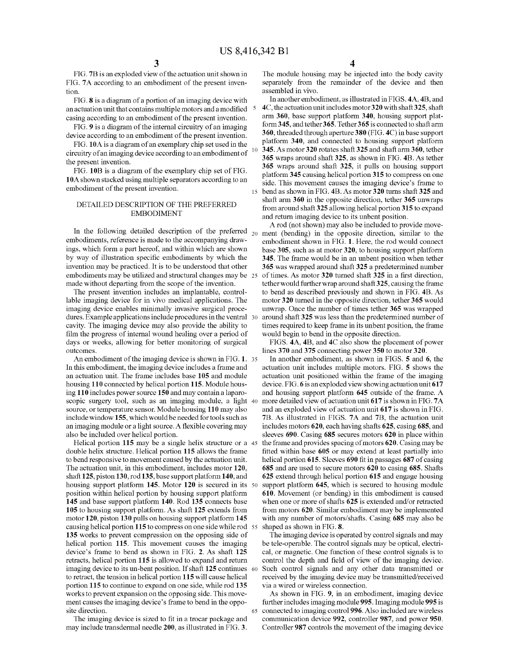5

FIG. 7B is an exploded view of the actuation unit shown in FIG. 7A according to an embodiment of the present invention.

FIG. **8** is a diagram of a portion of an imaging device with an actuation unit that contains multiple motors and a modified casing according to an embodiment of the present invention.

FIG. **9** is a diagram of the internal circuitry of an imaging device according to an embodiment of the present invention.

FIG. **lOA** is a diagram of an exemplary chip set used in the circuitry of an imaging device according to an embodiment of the present invention.

FIG. 10B is a diagram of the exemplary chip set of FIG. **1** OA shown stacked using multiple separators according to an embodiment of the present invention.

### DETAILED DESCRIPTION OF THE PREFERRED EMBODIMENT

In the following detailed description of the preferred  $_{20}$ embodiments, reference is made to the accompanying drawings, which form a part hereof, and within which are shown by way of illustration specific embodiments by which the invention may be practiced. It is to be understood that other embodiments may be utilized and structural changes may be made without departing from the scope of the invention.

The present invention includes an implantable, controllable imaging device for in vivo medical applications. The imaging device enables minimally invasive surgical procedures. Example applications include procedures in the ventral 30 cavity. The imaging device may also provide the ability to film the progress of internal wound healing over a period of days or weeks, allowing for better monitoring of surgical outcomes.

An embodiment of the imaging device is shown in FIG. **1.** <sup>35</sup> In this embodiment, the imaging device includes a frame and an actuation unit. The frame includes base **105** and module housing **110** connected by helical portion **115.** Module housing **110** includes power source **150** and may contain a laparoscopic surgery tool, such as an imaging module, a light 40 source, or temperature sensor. Module housing **110** may also include window **155,** which would be needed for tools such as an imaging module or a light source. A flexible covering may also be included over helical portion.

Helical portion **115** may be a single helix structure or a 45 double helix structure. Helical portion **115** allows the frame to bend responsive to movement caused by the actuation unit. The actuation unit, in this embodiment, includes motor **120,**  shaft **125,** piston **130,** rod **135,** base support platform **140,** and housing support platform **145.** Motor **120** is secured in its 50 position within helical portion by housing support platform **145** and base support platform **140.** Rod **135** connects base **105** to housing support platform. As shaft **125** extends from motor **120,** piston **130** pulls on housing support platform **145**  causing helical portion **115** to compress on one side while rod 55 **135** works to prevent compression on the opposing side of helical portion **115.** This movement causes the imaging device's frame to bend as shown in FIG. **2.** As shaft **125**  retracts, helical portion **115** is allowed to expand and return imaging device to its un-bent position. If shaft **125** continues 60 Such control signals and any other data transmitted or to retract, the tension in helical portion **115** will cause helical portion **115** to continue to expand on one side, while rod **135**  works to prevent expansion on the opposing side. This movement causes the imaging device's frame to bend in the opposite direction.

The imaging device is sized to fit in a trocar package and may include transdermal needle **200,** as illustrated in FIG. **3.** 

The module housing may be injected into the body cavity separately from the remainder of the device and then assembled in vivo.

In another embodiment, as illustrated in FIGS. **4A, 4B,** and **4C,** the actuation unit includes motor **320** with shaft **325,** shaft arm **360,** base support platform **340,** housing support platform **345,** and tether **365.** Tether **365** is connected to shaft arm **360,** threaded through aperture **380** (FIG. **4C)** in base support platform **340,** and connected to housing support platform 10 **345.** As motor **320** rotates shaft **325** and shaft arm **360,** tether **365** wraps around shaft **325,** as shown in FIG. **4B.** As tether **365** wraps around shaft **325,** it pulls on housing support platform **345** causing helical portion **315** to compress on one side. This movement causes the imaging device's frame to 15 bend as shown in FIG. **4B.** As motor **320** turns shaft **325** and shaft arm **360** in the opposite direction, tether **365** unwraps from around shaft **325** allowing helical portion **315** to expand and return imaging device to its unbent position.

A rod (not shown) may also be included to provide movement (bending) in the opposite direction, similar to the embodiment shown in FIG. **1.** Here, the rod would connect base **305,** such as at motor **320,** to housing support platform **345.** The frame would be in an unbent position when tether **365** was wrapped around shaft **325** a predetermined number 25 of times. As motor **320** turned shaft **325** in a first direction, tether would further wrap around shaft **3 25,** causing the frame to bend as described previously and shown in FIG. **4B.** As motor **320** turned in the opposite direction, tether **365** would unwrap. Once the number of times tether **365** was wrapped 30 around shaft **325** was less than the predetermined number of times required to keep frame in its unbent position, the frame would begin to bend in the opposite direction.

FIGS. **4A, 4B, and 4C** also show the placement of power lines **370** and **375** connecting power **350** to motor **320.** 

In another embodiment, as shown in FIGS. **5 and 6,** the actuation unit includes multiple motors. FIG. **5** shows the actuation unit positioned within the frame of the imaging device. FIG. **6** is an exploded view showing actuation unit **617**  and housing support platform **645** outside of the frame. A 40 more detailed view of actuation unit **617** is shown in FIG. **7** A and an exploded view of actuation unit **617** is shown in FIG. 7B. As illustrated in FIGS. 7A and 7B, the actuation unit includes motors **620,** each having shafts **625,** casing **685,** and sleeves **690.** Casing **685** secures motors **620** in place within the frame and provides spacing of motors **620.** Casing may be fitted within base **605** or may extend at least partially into helical portion **615.** Sleeves **690** fit in passages **687** of casing **685** and are used to secure motors **620** to casing **685.** Shafts **625** extend through helical portion **615** and engage housing support platform **645,** which is secured to housing module **610.** Movement (or bending) in this embodiment is caused when one or more of shafts **625** is extended and/or retracted from motors **620.** Similar embodiment may be implemented with any number of motors/shafts. Casing **685** may also be shaped as shown in FIG. **8.** 

The imaging device is operated by control signals and may be tele-operable. The control signals may be optical, electrical, or magnetic. One function of these control signals is to control the depth and field of view of the imaging device. received by the imaging device may be transmitted/received via a wired or wireless connection.

As shown in FIG. **9,** in an embodiment, imaging device further includes imaging module **995.** Imaging module **995** is 65 connected to imaging control996. Also included are wireless communication device **992,** controller **987,** and power **950.**  Controller **987** controls the movement of the imaging device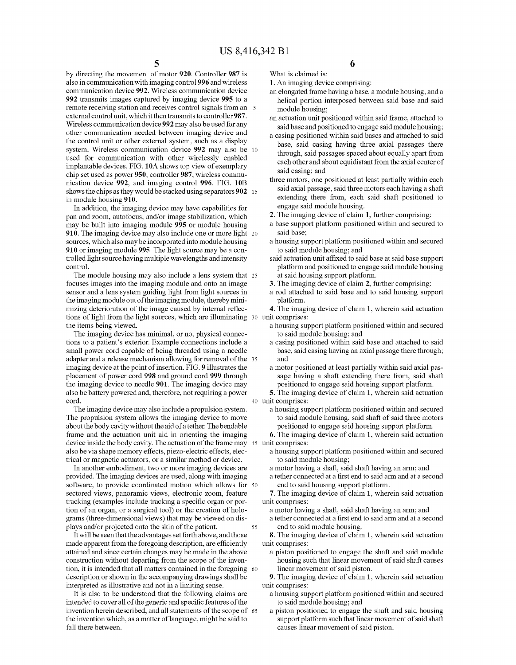by directing the movement of motor **920.** Controller **987** is also in communication with imaging control996 and wireless communication device **992.** Wireless communication device **992** transmits images captured by imaging device **995** to a remote receiving station and receives control signals from an 5 external control unit, which it then transmits to controller **987.**  Wireless communication device **992** may also be used for any other communication needed between imaging device and the control unit or other external system, such as a display system. Wireless communication device **992** may also be 10 used for communication with other wirelessly enabled implantable devices. FIG. **lOA** shows top view of exemplary chip set used as power **950,** controller **987,** wireless communication device **992,** and imaging control **996.** FIG. **lOB**  shows the chips as they would be stacked using separators **902** 15 in module housing **910.** 

In addition, the imaging device may have capabilities for pan and zoom, autofocus, and/or image stabilization, which may be built into imaging module **995** or module housing **910.** The imaging device may also include one or more light 20 sources, which also may be incorporated into module housing **910** or imaging module **995.** The light source may be a controlled light source having multiple wavelengths and intensity control.

The module housing may also include a lens system that 25 focuses images into the imaging module and onto an image sensor and a lens system guiding light from light sources in the imaging module out of the imaging module, thereby minimizing deterioration of the image caused by internal reflections of light from the light sources, which are illuminating 30 unit comprises: the items being viewed.

The imaging device has minimal, or no, physical connections to a patient's exterior. Example connections include a small power cord capable of being threaded using a needle adapter and a release mechanism allowing for removal of the 35 imaging device at the point of insertion. FIG. **9** illustrates the placement of power cord **998** and ground cord **999** through the imaging device to needle **901.** The imaging device may also be battery powered and, therefore, not requiring a power cord.

The imaging device may also include a propulsion system. a housing support platform positioned within and secured The propulsion system allows the imaging device to move about the body cavity without the aid of a tether. The bendable frame and the actuation unit aid in orienting the imaging device inside the body cavity. The actuation of the frame may also be via shape memory effects, piezo-electric effects, electrical or magnetic actuators, or a similar method or device.

In another embodiment, two or more imaging devices are provided. The imaging devices are used, along with imaging software, to provide coordinated motion which allows for 50 sectored views, panoramic views, electronic zoom, feature tracking (examples include tracking a specific organ or portion of an organ, or a surgical tool) or the creation of holograms (three-dimensional views) that may be viewed on displays and/or projected onto the skin of the patient. 55

It will be seen that the advantages set forth above, and those made apparent from the foregoing description, are efficiently attained and since certain changes may be made in the above construction without departing from the scope of the invention, it is intended that all matters contained in the foregoing 60 description or shown in the accompanying drawings shall be interpreted as illustrative and not in a limiting sense.

It is also to be understood that the following claims are intended to cover all of the generic and specific features of the invention herein described, and all statements of the scope of 65 the invention which, as a matter of language, might be said to fall there between.

**6** 

**1.** An imaging device comprising:

What is claimed is:

- an elongated frame having a base, a module housing, and a helical portion interposed between said base and said module housing;
- an actuation unit positioned within said frame, attached to said base and positioned to engage said module housing;
- a casing positioned within said bases and attached to said base, said casing having three axial passages there through, said passages spaced about equally apart from each other and about equidistant from the axial center of said casing; and
- three motors, one positioned at least partially within each said axial passage, said three motors each having a shaft extending there from, each said shaft positioned to engage said module housing.
- **2.** The imaging device of claim **1,** further comprising:
- a base support platform positioned within and secured to said base;
- a housing support platform positioned within and secured to said module housing; and
- said actuation unit affixed to said base at said base support platform and positioned to engage said module housing at said housing support platform.
- **3.** The imaging device of claim **2,** further comprising:
- a rod attached to said base and to said housing support platform.

**4.** The imaging device of claim **1,** wherein said actuation

- a housing support platform positioned within and secured to said module housing; and
- a casing positioned within said base and attached to said base, said casing having an axial passage there through; and
- a motor positioned at least partially within said axial passage having a shaft extending there from, said shaft positioned to engage said housing support platform.

**5.** The imaging device of claim **1,** wherein said actuation 40 unit comprises:

to said module housing, said shaft of said three motors positioned to engage said housing support platform.

**6.** The imaging device of claim **1,** wherein said actuation 45 unit comprises:

a housing support platform positioned within and secured to said module housing;

a motor having a shaft, said shaft having an arm; and

a tether connected at a first end to said arm and at a second end to said housing support platform.

- **7.** The imaging device of claim **1,** wherein said actuation unit comprises:
	- a motor having a shaft, said shaft having an arm; and
	- a tether connected at a first end to said arm and at a second end to said module housing.

**8.** The imaging device of claim **1,** wherein said actuation unit comprises:

a piston positioned to engage the shaft and said module housing such that linear movement of said shaft causes linear movement of said piston.

**9.** The imaging device of claim **1,** wherein said actuation unit comprises:

- a housing support platform positioned within and secured to said module housing; and
- a piston positioned to engage the shaft and said housing support platform such that linear movement of said shaft causes linear movement of said piston.